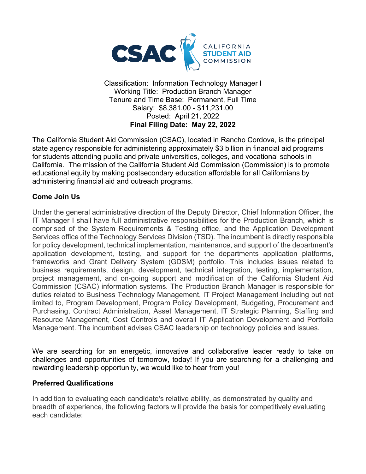

Classification: Information Technology Manager I Working Title: Production Branch Manager Tenure and Time Base: Permanent, Full Time Salary: \$8,381.00 - \$11,231.00 Posted: April 21, 2022 **Final Filing Date: May 22, 2022**

The California Student Aid Commission (CSAC), located in Rancho Cordova, is the principal state agency responsible for administering approximately \$3 billion in financial aid programs for students attending public and private universities, colleges, and vocational schools in California. The mission of the California Student Aid Commission (Commission) is to promote educational equity by making postsecondary education affordable for all Californians by administering financial aid and outreach programs.

### **Come Join Us**

Under the general administrative direction of the Deputy Director, Chief Information Officer, the IT Manager I shall have full administrative responsibilities for the Production Branch, which is comprised of the System Requirements & Testing office, and the Application Development Services office of the Technology Services Division (TSD). The incumbent is directly responsible for policy development, technical implementation, maintenance, and support of the department's application development, testing, and support for the departments application platforms, frameworks and Grant Delivery System (GDSM) portfolio. This includes issues related to business requirements, design, development, technical integration, testing, implementation, project management, and on-going support and modification of the California Student Aid Commission (CSAC) information systems. The Production Branch Manager is responsible for duties related to Business Technology Management, IT Project Management including but not limited to, Program Development, Program Policy Development, Budgeting, Procurement and Purchasing, Contract Administration, Asset Management, IT Strategic Planning, Staffing and Resource Management, Cost Controls and overall IT Application Development and Portfolio Management. The incumbent advises CSAC leadership on technology policies and issues.

We are searching for an energetic, innovative and collaborative leader ready to take on challenges and opportunities of tomorrow, today! If you are searching for a challenging and rewarding leadership opportunity, we would like to hear from you!

#### **Preferred Qualifications**

In addition to evaluating each candidate's relative ability, as demonstrated by quality and breadth of experience, the following factors will provide the basis for competitively evaluating each candidate: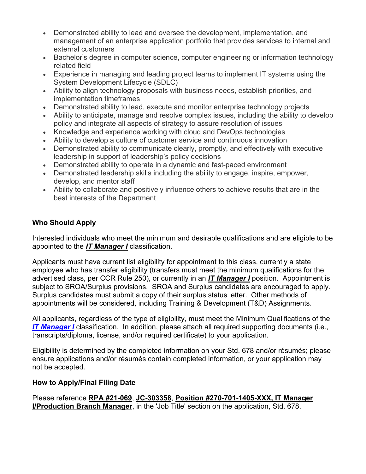- Demonstrated ability to lead and oversee the development, implementation, and management of an enterprise application portfolio that provides services to internal and external customers
- Bachelor's degree in computer science, computer engineering or information technology related field
- Experience in managing and leading project teams to implement IT systems using the System Development Lifecycle (SDLC)
- Ability to align technology proposals with business needs, establish priorities, and implementation timeframes
- Demonstrated ability to lead, execute and monitor enterprise technology projects
- Ability to anticipate, manage and resolve complex issues, including the ability to develop policy and integrate all aspects of strategy to assure resolution of issues
- Knowledge and experience working with cloud and DevOps technologies
- Ability to develop a culture of customer service and continuous innovation
- Demonstrated ability to communicate clearly, promptly, and effectively with executive leadership in support of leadership's policy decisions
- Demonstrated ability to operate in a dynamic and fast-paced environment
- Demonstrated leadership skills including the ability to engage, inspire, empower, develop, and mentor staff
- Ability to collaborate and positively influence others to achieve results that are in the best interests of the Department

### **Who Should Apply**

Interested individuals who meet the minimum and desirable qualifications and are eligible to be appointed to the *IT Manager I* classification.

Applicants must have current list eligibility for appointment to this class, currently a state employee who has transfer eligibility (transfers must meet the minimum qualifications for the advertised class, per CCR Rule 250), or currently in an *IT Manager I* position. Appointment is subject to SROA/Surplus provisions. SROA and Surplus candidates are encouraged to apply. Surplus candidates must submit a copy of their surplus status letter. Other methods of appointments will be considered, including Training & Development (T&D) Assignments.

All applicants, regardless of the type of eligibility, must meet the Minimum Qualifications of the *[IT Manager I](https://www.calhr.ca.gov/state-hr-professionals/Pages/1400.aspx)* classification. In addition, please attach all required supporting documents (i.e., transcripts/diploma, license, and/or required certificate) to your application.

Eligibility is determined by the completed information on your Std. 678 and/or résumés; please ensure applications and/or résumés contain completed information, or your application may not be accepted.

### **How to Apply/Final Filing Date**

Please reference **RPA #21-069**, **JC-303358**, **Position #270-701-1405-XXX, IT Manager I/Production Branch Manager**, in the 'Job Title' section on the application, Std. 678.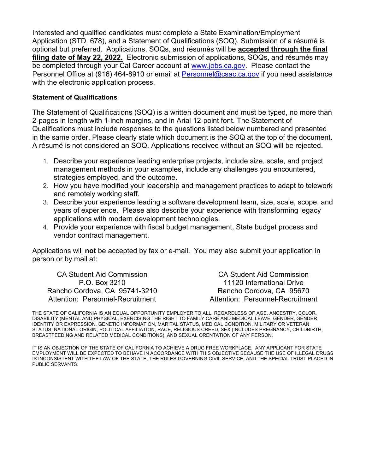Interested and qualified candidates must complete a State Examination/Employment Application (STD. 678), and a Statement of Qualifications (SOQ). Submission of a résumé is optional but preferred. Applications, SOQs, and résumés will be **accepted through the final filing date of May 22, 2022.** Electronic submission of applications, SOQs, and résumés may be completed through your Cal Career account at [www.jobs.ca.gov.](http://www.jobs.ca.gov/) Please contact the Personnel Office at (916) 464-8910 or email at [Personnel@csac.ca.gov](mailto:Personnel@csac.ca.gov) if you need assistance with the electronic application process.

#### **Statement of Qualifications**

The Statement of Qualifications (SOQ) is a written document and must be typed, no more than 2-pages in length with 1-inch margins, and in Arial 12-point font. The Statement of Qualifications must include responses to the questions listed below numbered and presented in the same order. Please clearly state which document is the SOQ at the top of the document. A résumé is not considered an SOQ. Applications received without an SOQ will be rejected.

- 1. Describe your experience leading enterprise projects, include size, scale, and project management methods in your examples, include any challenges you encountered, strategies employed, and the outcome.
- 2. How you have modified your leadership and management practices to adapt to telework and remotely working staff.
- 3. Describe your experience leading a software development team, size, scale, scope, and years of experience. Please also describe your experience with transforming legacy applications with modern development technologies.
- 4. Provide your experience with fiscal budget management, State budget process and vendor contract management.

Applications will **not** be accepted by fax or e-mail. You may also submit your application in person or by mail at:

CA Student Aid Commission P.O. Box 3210 Rancho Cordova, CA 95741-3210 Attention: Personnel-Recruitment

CA Student Aid Commission 11120 International Drive Rancho Cordova, CA 95670 Attention: Personnel-Recruitment

THE STATE OF CALIFORNIA IS AN EQUAL OPPORTUNITY EMPLOYER TO ALL, REGARDLESS OF AGE, ANCESTRY, COLOR, DISABILITY (MENTAL AND PHYSICAL, EXERCISING THE RIGHT TO FAMILY CARE AND MEDICAL LEAVE, GENDER, GENDER IDENTITY OR EXPRESSION, GENETIC INFORMATION, MARITAL STATUS, MEDICAL CONDITION, MILITARY OR VETERAN STATUS, NATIONAL ORIGIN, POLITICAL AFFILIATION, RACE, RELIGIOUS CREED, SEX (INCLUDES PREGNANCY, CHILDBIRTH, BREASTFEEDING AND RELATED MEDICAL CONDITIONS), AND SEXUAL ORENTATION OF ANY PERSON.

IT IS AN OBJECTION OF THE STATE OF CALIFORNIA TO ACHIEVE A DRUG FREE WORKPLACE. ANY APPLICANT FOR STATE EMPLOYMENT WILL BE EXPECTED TO BEHAVE IN ACCORDANCE WITH THIS OBJECTIVE BECAUSE THE USE OF ILLEGAL DRUGS IS INCONSISTENT WITH THE LAW OF THE STATE, THE RULES GOVERNING CIVIL SERVICE, AND THE SPECIAL TRUST PLACED IN PUBLIC SERVANTS.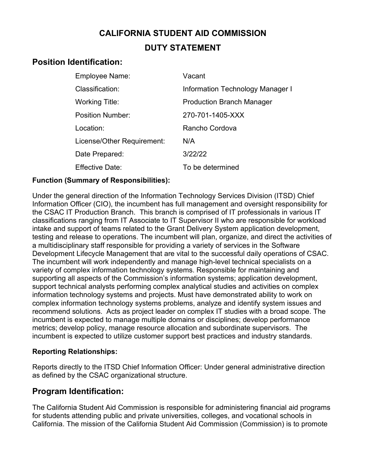# **CALIFORNIA STUDENT AID COMMISSION DUTY STATEMENT**

# **Position Identification:**

| Employee Name:             | Vacant                           |
|----------------------------|----------------------------------|
| Classification:            | Information Technology Manager I |
| Working Title:             | <b>Production Branch Manager</b> |
| <b>Position Number:</b>    | 270-701-1405-XXX                 |
| Location:                  | Rancho Cordova                   |
| License/Other Requirement: | N/A                              |
| Date Prepared:             | 3/22/22                          |
| <b>Effective Date:</b>     | To be determined                 |

### **Function (Summary of Responsibilities):**

Under the general direction of the Information Technology Services Division (ITSD) Chief Information Officer (CIO), the incumbent has full management and oversight responsibility for the CSAC IT Production Branch. This branch is comprised of IT professionals in various IT classifications ranging from IT Associate to IT Supervisor II who are responsible for workload intake and support of teams related to the Grant Delivery System application development, testing and release to operations. The incumbent will plan, organize, and direct the activities of a multidisciplinary staff responsible for providing a variety of services in the Software Development Lifecycle Management that are vital to the successful daily operations of CSAC. The incumbent will work independently and manage high-level technical specialists on a variety of complex information technology systems. Responsible for maintaining and supporting all aspects of the Commission's information systems; application development, support technical analysts performing complex analytical studies and activities on complex information technology systems and projects. Must have demonstrated ability to work on complex information technology systems problems, analyze and identify system issues and recommend solutions. Acts as project leader on complex IT studies with a broad scope. The incumbent is expected to manage multiple domains or disciplines; develop performance metrics; develop policy, manage resource allocation and subordinate supervisors. The incumbent is expected to utilize customer support best practices and industry standards.

### **Reporting Relationships:**

Reports directly to the ITSD Chief Information Officer: Under general administrative direction as defined by the CSAC organizational structure.

### **Program Identification:**

The California Student Aid Commission is responsible for administering financial aid programs for students attending public and private universities, colleges, and vocational schools in California. The mission of the California Student Aid Commission (Commission) is to promote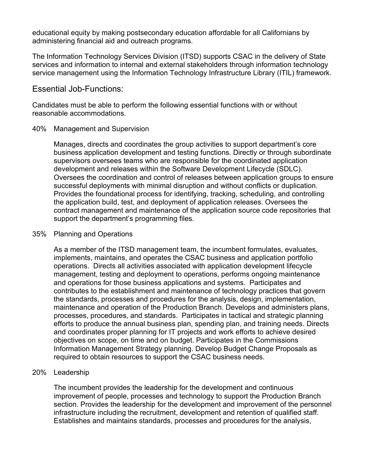educational equity by making postsecondary education affordable for all Californians by administering financial aid and outreach programs.

The Information Technology Services Division (ITSD) supports CSAC in the delivery of State services and information to internal and external stakeholders through information technology service management using the Information Technology Infrastructure Library (ITIL) framework.

#### Essential Job-Functions:

Candidates must be able to perform the following essential functions with or without reasonable accommodations.

#### 40% Management and Supervision

Manages, directs and coordinates the group activities to support department's core business application development and testing functions. Directly or through subordinate supervisors oversees teams who are responsible for the coordinated application development and releases within the Software Development Lifecycle (SDLC). Oversees the coordination and control of releases between application groups to ensure successful deployments with minimal disruption and without conflicts or duplication. Provides the foundational process for identifying, tracking, scheduling, and controlling the application build, test, and deployment of application releases. Oversees the contract management and maintenance of the application source code repositories that support the department's programming files.

#### 35% Planning and Operations

As a member of the ITSD management team, the incumbent formulates, evaluates, implements, maintains, and operates the CSAC business and application portfolio operations. Directs all activities associated with application development lifecycle management, testing and deployment to operations, performs ongoing maintenance and operations for those business applications and systems. Participates and contributes to the establishment and maintenance of technology practices that govern the standards, processes and procedures for the analysis, design, implementation, maintenance and operation of the Production Branch. Develops and administers plans, processes, procedures, and standards. Participates in tactical and strategic planning efforts to produce the annual business plan, spending plan, and training needs. Directs and coordinates proper planning for IT projects and work efforts to achieve desired objectives on scope, on time and on budget. Participates in the Commissions Information Management Strategy planning. Develop Budget Change Proposals as required to obtain resources to support the CSAC business needs.

#### 20% Leadership

The incumbent provides the leadership for the development and continuous improvement of people, processes and technology to support the Production Branch section. Provides the leadership for the development and improvement of the personnel infrastructure including the recruitment, development and retention of qualified staff. Establishes and maintains standards, processes and procedures for the analysis,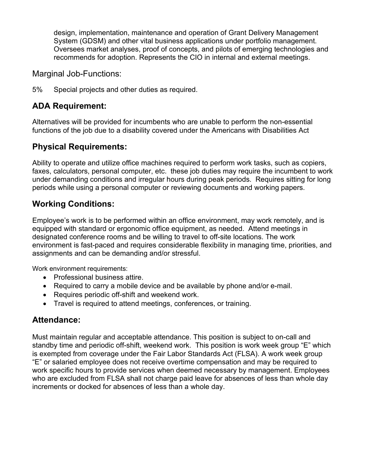design, implementation, maintenance and operation of Grant Delivery Management System (GDSM) and other vital business applications under portfolio management. Oversees market analyses, proof of concepts, and pilots of emerging technologies and recommends for adoption. Represents the CIO in internal and external meetings.

Marginal Job-Functions:

5% Special projects and other duties as required.

# **ADA Requirement:**

Alternatives will be provided for incumbents who are unable to perform the non-essential functions of the job due to a disability covered under the Americans with Disabilities Act

## **Physical Requirements:**

Ability to operate and utilize office machines required to perform work tasks, such as copiers, faxes, calculators, personal computer, etc. these job duties may require the incumbent to work under demanding conditions and irregular hours during peak periods. Requires sitting for long periods while using a personal computer or reviewing documents and working papers.

# **Working Conditions:**

Employee's work is to be performed within an office environment, may work remotely, and is equipped with standard or ergonomic office equipment, as needed. Attend meetings in designated conference rooms and be willing to travel to off-site locations. The work environment is fast-paced and requires considerable flexibility in managing time, priorities, and assignments and can be demanding and/or stressful.

Work environment requirements:

- Professional business attire.
- Required to carry a mobile device and be available by phone and/or e-mail.
- Requires periodic off-shift and weekend work.
- Travel is required to attend meetings, conferences, or training.

# **Attendance:**

Must maintain regular and acceptable attendance. This position is subject to on-call and standby time and periodic off-shift, weekend work. This position is work week group "E" which is exempted from coverage under the Fair Labor Standards Act (FLSA). A work week group "E" or salaried employee does not receive overtime compensation and may be required to work specific hours to provide services when deemed necessary by management. Employees who are excluded from FLSA shall not charge paid leave for absences of less than whole day increments or docked for absences of less than a whole day.